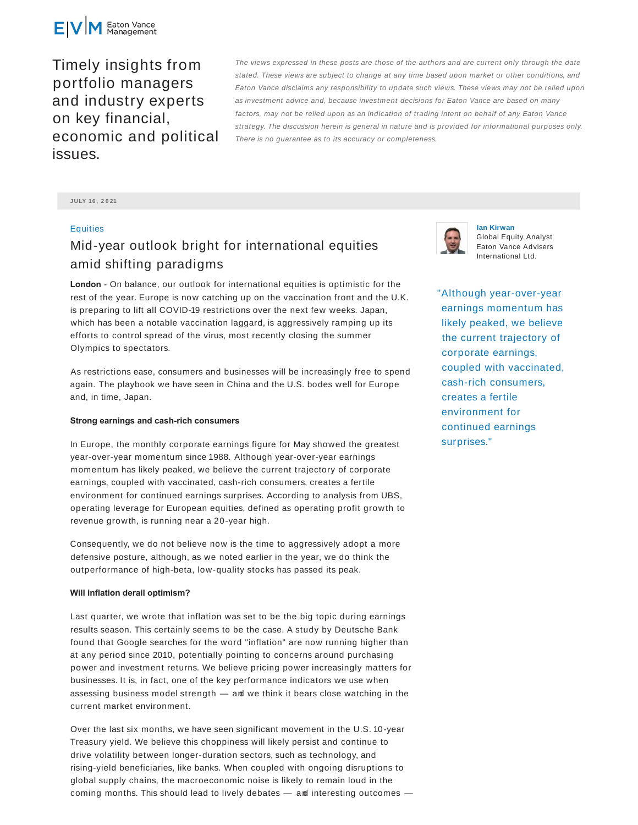

Timely insights from portfolio managers and industry experts on key financial, economic and political issues.

The views expressed in these posts are those of the authors and are current only through the date stated. These views are subject to change at any time based upon market or other conditions, and Eaton Vance disclaims any responsibility to update such views. These views may not be relied upon as investment advice and, because investment decisions for Eaton Vance are based on many factors, may not be relied upon as an indication of trading intent on behalf of any Eaton Vance strategy. The discussion herein is general in nature and is provided for informational purposes only. There is no guarantee as to its accuracy or completeness.

**JULY 16 , 2 0 21**

## **Equities**

# Mid-year outlook bright for international equities amid shifting paradigms

**London** - On balance, our outlook for international equities is optimistic for the rest of the year. Europe is now catching up on the vaccination front and the U.K. is preparing to lift all COVID-19 restrictions over the next few weeks. Japan, which has been a notable vaccination laggard, is aggressively ramping up its efforts to control spread of the virus, most recently closing the summer Olympics to spectators.

As restrictions ease, consumers and businesses will be increasingly free to spend again. The playbook we have seen in China and the U.S. bodes well for Europe and, in time, Japan.

#### **Strong earnings and cash-rich consumers**

In Europe, the monthly corporate earnings figure for May showed the greatest year-over-year momentum since 1988. Although year-over-year earnings momentum has likely peaked, we believe the current trajectory of corporate earnings, coupled with vaccinated, cash-rich consumers, creates a fertile environment for continued earnings surprises. According to analysis from UBS, operating leverage for European equities, defined as operating profit growth to revenue growth, is running near a 20-year high.

Consequently, we do not believe now is the time to aggressively adopt a more defensive posture, although, as we noted earlier in the year, we do think the outperformance of high-beta, low-quality stocks has passed its peak.

#### **Will inflation derail optimism?**

Last quarter, we wrote that inflation was set to be the big topic during earnings results season. This certainly seems to be the case. A study by Deutsche Bank found that Google searches for the word "inflation" are now running higher than at any period since 2010, potentially pointing to concerns around purchasing power and investment returns. We believe pricing power increasingly matters for businesses. It is, in fact, one of the key performance indicators we use when assessing business model strength — and we think it bears close watching in the current market environment.

Over the last six months, we have seen significant movement in the U.S. 10-year Treasury yield. We believe this choppiness will likely persist and continue to drive volatility between longer-duration sectors, such as technology, and rising-yield beneficiaries, like banks. When coupled with ongoing disruptions to global supply chains, the macroeconomic noise is likely to remain loud in the coming months. This should lead to lively debates — and interesting outcomes —



**Ian Kirwan** Global Equity Analyst Eaton Vance Advisers International Ltd.

"Although year-over-year earnings momentum has likely peaked, we believe the current trajectory of corporate earnings, coupled with vaccinated, cash-rich consumers, creates a fertile environment for continued earnings surprises."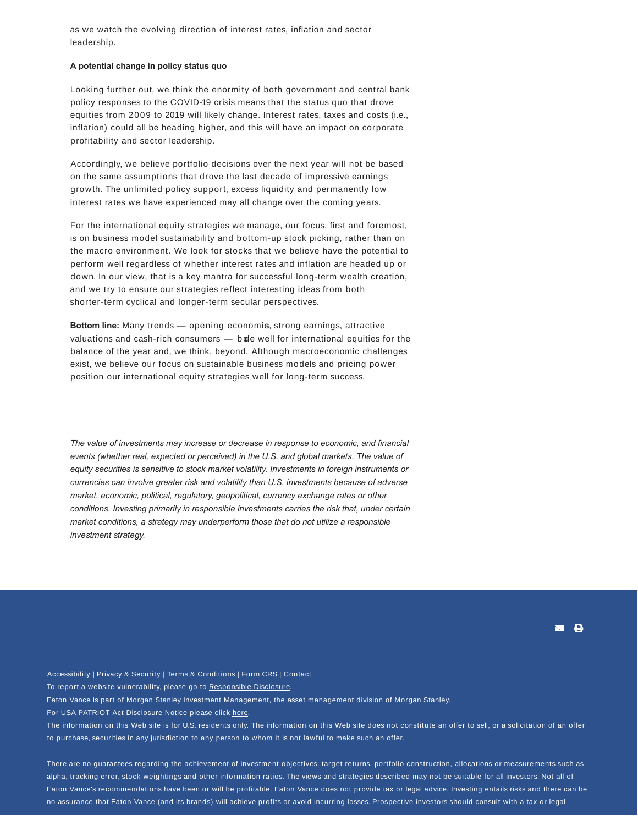as we watch the evolving direction of interest rates, inflation and sector leadership.

### **A potential change in policy status quo**

Looking further out, we think the enormity of both government and central bank policy responses to the COVID-19 crisis means that the status quo that drove equities from 2009 to 2019 will likely change. Interest rates, taxes and costs (i.e., inflation) could all be heading higher, and this will have an impact on corporate profitability and sector leadership.

Accordingly, we believe portfolio decisions over the next year will not be based on the same assumptions that drove the last decade of impressive earnings growth. The unlimited policy support, excess liquidity and permanently low interest rates we have experienced may all change over the coming years.

For the international equity strategies we manage, our focus, first and foremost, is on business model sustainability and bottom-up stock picking, rather than on the macro environment. We look for stocks that we believe have the potential to perform well regardless of whether interest rates and inflation are headed up or down. In our view, that is a key mantra for successful long-term wealth creation, and we try to ensure our strategies reflect interesting ideas from both shorter-term cyclical and longer-term secular perspectives.

**Bottom line:** Many trends — opening economie, strong earnings, attractive valuations and cash-rich consumers  $-$  b de well for international equities for the balance of the year and, we think, beyond. Although macroeconomic challenges exist, we believe our focus on sustainable business models and pricing power position our international equity strategies well for long-term success.

*The value of investments may increase or decrease in response to economic, and financial events (whether real, expected or perceived) in the U.S. and global markets. The value of equity securities is sensitive to stock market volatility. Investments in foreign instruments or currencies can involve greater risk and volatility than U.S. investments because of adverse market, economic, political, regulatory, geopolitical, currency exchange rates or other conditions. Investing primarily in responsible investments carries the risk that, under certain market conditions, a strategy may underperform those that do not utilize a responsible investment strategy.*

⊠ В

Accessibility | Privacy & Security | Terms & Conditions | Form CRS | Contact To report a website vulnerability, please go to Responsible Disclosure. Eaton Vance is part of Morgan Stanley Investment Management, the asset management division of Morgan Stanley. For USA PATRIOT Act Disclosure Notice please click here. The information on this Web site is for U.S. residents only. The information on this Web site does not constitute an offer to sell, or a solicitation of an offer to purchase, securities in any jurisdiction to any person to whom it is not lawful to make such an offer.

There are no guarantees regarding the achievement of investment objectives, target returns, portfolio construction, allocations or measurements such as alpha, tracking error, stock weightings and other information ratios. The views and strategies described may not be suitable for all investors. Not all of Eaton Vance's recommendations have been or will be profitable. Eaton Vance does not provide tax or legal advice. Investing entails risks and there can be no assurance that Eaton Vance (and its brands) will achieve profits or avoid incurring losses. Prospective investors should consult with a tax or legal